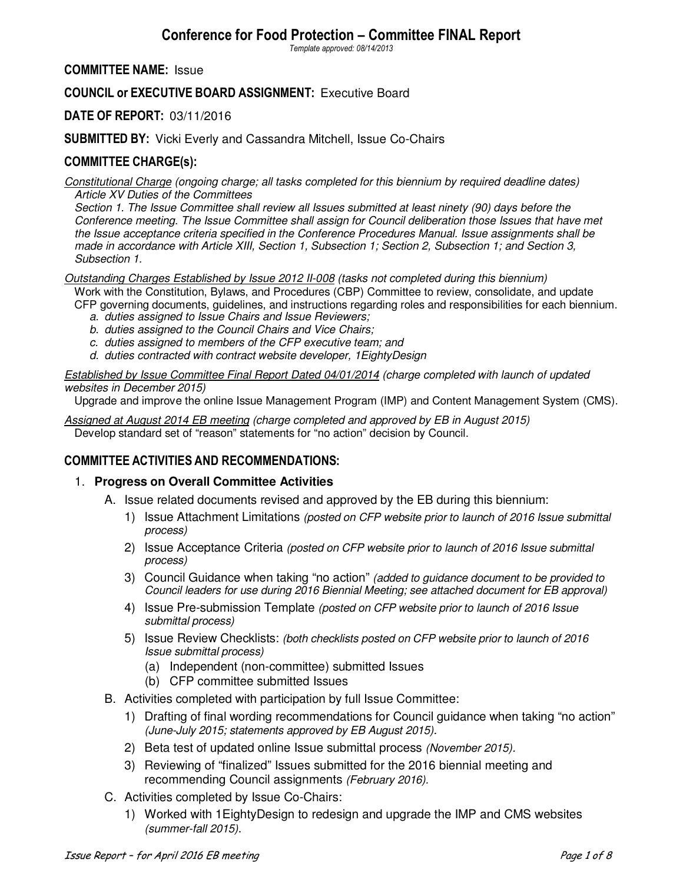# **Conference for Food Protection – Committee FINAL Report**

*Template approved: 08/14/2013* 

### **COMMITTEE NAME:** Issue

# **COUNCIL or EXECUTIVE BOARD ASSIGNMENT:** Executive Board

# **DATE OF REPORT:** 03/11/2016

### **SUBMITTED BY:** Vicki Everly and Cassandra Mitchell, Issue Co-Chairs

# **COMMITTEE CHARGE(s):**

*Constitutional Charge (ongoing charge; all tasks completed for this biennium by required deadline dates) Article XV Duties of the Committees* 

*Section 1. The Issue Committee shall review all Issues submitted at least ninety (90) days before the Conference meeting. The Issue Committee shall assign for Council deliberation those Issues that have met the Issue acceptance criteria specified in the Conference Procedures Manual. Issue assignments shall be made in accordance with Article XIII, Section 1, Subsection 1; Section 2, Subsection 1; and Section 3, Subsection 1.* 

*Outstanding Charges Established by Issue 2012 II-008 (tasks not completed during this biennium)*  Work with the Constitution, Bylaws, and Procedures (CBP) Committee to review, consolidate, and update

CFP governing documents, guidelines, and instructions regarding roles and responsibilities for each biennium.

- *a. duties assigned to Issue Chairs and Issue Reviewers;*
- *b. duties assigned to the Council Chairs and Vice Chairs;*
- *c. duties assigned to members of the CFP executive team; and*
- *d. duties contracted with contract website developer, 1EightyDesign*

*Established by Issue Committee Final Report Dated 04/01/2014 (charge completed with launch of updated websites in December 2015)* 

Upgrade and improve the online Issue Management Program (IMP) and Content Management System (CMS).

*Assigned at August 2014 EB meeting (charge completed and approved by EB in August 2015)*  Develop standard set of "reason" statements for "no action" decision by Council.

# **COMMITTEE ACTIVITIES AND RECOMMENDATIONS:**

### 1. **Progress on Overall Committee Activities**

- A. Issue related documents revised and approved by the EB during this biennium:
	- 1) Issue Attachment Limitations *(posted on CFP website prior to launch of 2016 Issue submittal process)*
	- 2) Issue Acceptance Criteria *(posted on CFP website prior to launch of 2016 Issue submittal process)*
	- 3) Council Guidance when taking "no action" *(added to guidance document to be provided to Council leaders for use during 2016 Biennial Meeting; see attached document for EB approval)*
	- 4) Issue Pre-submission Template *(posted on CFP website prior to launch of 2016 Issue submittal process)*
	- 5) Issue Review Checklists: *(both checklists posted on CFP website prior to launch of 2016 Issue submittal process)*
		- (a) Independent (non-committee) submitted Issues
		- (b) CFP committee submitted Issues
- B. Activities completed with participation by full Issue Committee:
	- 1) Drafting of final wording recommendations for Council guidance when taking "no action" *(June-July 2015; statements approved by EB August 2015).*
	- 2) Beta test of updated online Issue submittal process *(November 2015).*
	- 3) Reviewing of "finalized" Issues submitted for the 2016 biennial meeting and recommending Council assignments *(February 2016).*
- C. Activities completed by Issue Co-Chairs:
	- 1) Worked with 1EightyDesign to redesign and upgrade the IMP and CMS websites *(summer-fall 2015)*.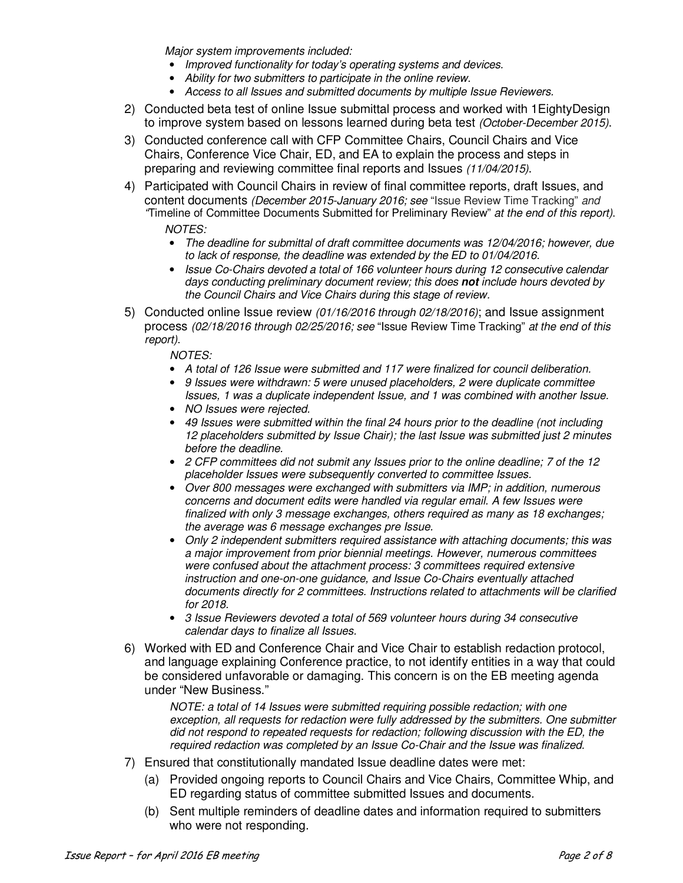*Major system improvements included:* 

- *Improved functionality for today's operating systems and devices.*
- *Ability for two submitters to participate in the online review.*
- *Access to all Issues and submitted documents by multiple Issue Reviewers.*
- 2) Conducted beta test of online Issue submittal process and worked with 1EightyDesign to improve system based on lessons learned during beta test *(October-December 2015)*.
- 3) Conducted conference call with CFP Committee Chairs, Council Chairs and Vice Chairs, Conference Vice Chair, ED, and EA to explain the process and steps in preparing and reviewing committee final reports and Issues *(11/04/2015)*.
- 4) Participated with Council Chairs in review of final committee reports, draft Issues, and content documents *(December 2015-January 2016; see* "Issue Review Time Tracking" *and "*Timeline of Committee Documents Submitted for Preliminary Review" *at the end of this report)*. *NOTES:* 
	- *The deadline for submittal of draft committee documents was 12/04/2016; however, due to lack of response, the deadline was extended by the ED to 01/04/2016.*
	- *Issue Co-Chairs devoted a total of 166 volunteer hours during 12 consecutive calendar days conducting preliminary document review; this does* **not** *include hours devoted by the Council Chairs and Vice Chairs during this stage of review.*
- 5) Conducted online Issue review *(01/16/2016 through 02/18/2016)*; and Issue assignment process *(02/18/2016 through 02/25/2016; see* "Issue Review Time Tracking" *at the end of this report)*.

*NOTES:* 

- *A total of 126 Issue were submitted and 117 were finalized for council deliberation.*
- *9 Issues were withdrawn: 5 were unused placeholders, 2 were duplicate committee Issues, 1 was a duplicate independent Issue, and 1 was combined with another Issue.*
- *NO Issues were rejected.*
- *49 Issues were submitted within the final 24 hours prior to the deadline (not including 12 placeholders submitted by Issue Chair); the last Issue was submitted just 2 minutes before the deadline.*
- *2 CFP committees did not submit any Issues prior to the online deadline; 7 of the 12 placeholder Issues were subsequently converted to committee Issues.*
- *Over 800 messages were exchanged with submitters via IMP; in addition, numerous concerns and document edits were handled via regular email. A few Issues were finalized with only 3 message exchanges, others required as many as 18 exchanges; the average was 6 message exchanges pre Issue.*
- *Only 2 independent submitters required assistance with attaching documents; this was a major improvement from prior biennial meetings. However, numerous committees were confused about the attachment process: 3 committees required extensive instruction and one-on-one guidance, and Issue Co-Chairs eventually attached documents directly for 2 committees. Instructions related to attachments will be clarified for 2018.*
- *3 Issue Reviewers devoted a total of 569 volunteer hours during 34 consecutive calendar days to finalize all Issues.*
- 6) Worked with ED and Conference Chair and Vice Chair to establish redaction protocol, and language explaining Conference practice, to not identify entities in a way that could be considered unfavorable or damaging. This concern is on the EB meeting agenda under "New Business."

*NOTE: a total of 14 Issues were submitted requiring possible redaction; with one exception, all requests for redaction were fully addressed by the submitters. One submitter did not respond to repeated requests for redaction; following discussion with the ED, the required redaction was completed by an Issue Co-Chair and the Issue was finalized.* 

- 7) Ensured that constitutionally mandated Issue deadline dates were met:
	- (a) Provided ongoing reports to Council Chairs and Vice Chairs, Committee Whip, and ED regarding status of committee submitted Issues and documents*.*
	- (b) Sent multiple reminders of deadline dates and information required to submitters who were not responding.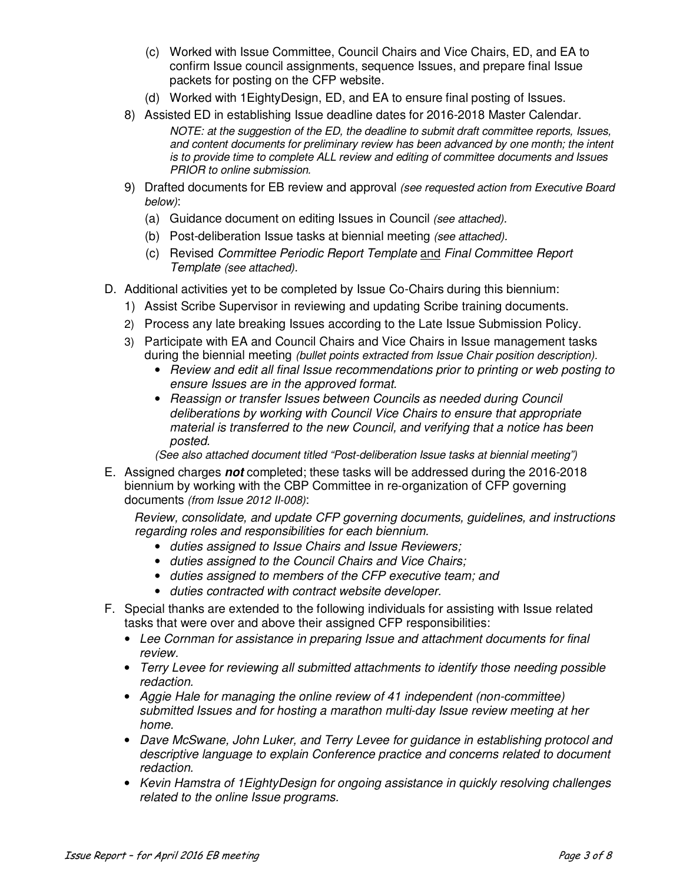- (c) Worked with Issue Committee, Council Chairs and Vice Chairs, ED, and EA to confirm Issue council assignments, sequence Issues, and prepare final Issue packets for posting on the CFP website.
- (d) Worked with 1EightyDesign, ED, and EA to ensure final posting of Issues.
- 8) Assisted ED in establishing Issue deadline dates for 2016-2018 Master Calendar.

*NOTE: at the suggestion of the ED, the deadline to submit draft committee reports, Issues, and content documents for preliminary review has been advanced by one month; the intent is to provide time to complete ALL review and editing of committee documents and Issues PRIOR to online submission.* 

- 9) Drafted documents for EB review and approval *(see requested action from Executive Board below)*:
	- (a) Guidance document on editing Issues in Council *(see attached).*
	- (b) Post-deliberation Issue tasks at biennial meeting *(see attached).*
	- (c) Revised *Committee Periodic Report Template* and *Final Committee Report Template (see attached).*
- D. Additional activities yet to be completed by Issue Co-Chairs during this biennium:
	- 1) Assist Scribe Supervisor in reviewing and updating Scribe training documents.
	- 2) Process any late breaking Issues according to the Late Issue Submission Policy.
	- 3) Participate with EA and Council Chairs and Vice Chairs in Issue management tasks during the biennial meeting *(bullet points extracted from Issue Chair position description).* 
		- *Review and edit all final Issue recommendations prior to printing or web posting to ensure Issues are in the approved format.*
		- *Reassign or transfer Issues between Councils as needed during Council deliberations by working with Council Vice Chairs to ensure that appropriate material is transferred to the new Council, and verifying that a notice has been posted.*

*(See also attached document titled "Post-deliberation Issue tasks at biennial meeting")* 

E. Assigned charges **not** completed; these tasks will be addressed during the 2016-2018 biennium by working with the CBP Committee in re-organization of CFP governing documents *(from Issue 2012 II-008)*:

*Review, consolidate, and update CFP governing documents, guidelines, and instructions regarding roles and responsibilities for each biennium.* 

- *duties assigned to Issue Chairs and Issue Reviewers;*
- *duties assigned to the Council Chairs and Vice Chairs;*
- *duties assigned to members of the CFP executive team; and*
- *duties contracted with contract website developer.*
- F. Special thanks are extended to the following individuals for assisting with Issue related tasks that were over and above their assigned CFP responsibilities:
	- *Lee Cornman for assistance in preparing Issue and attachment documents for final review.*
	- *Terry Levee for reviewing all submitted attachments to identify those needing possible redaction.*
	- *Aggie Hale for managing the online review of 41 independent (non-committee) submitted Issues and for hosting a marathon multi-day Issue review meeting at her home.*
	- *Dave McSwane, John Luker, and Terry Levee for guidance in establishing protocol and descriptive language to explain Conference practice and concerns related to document redaction.*
	- *Kevin Hamstra of 1EightyDesign for ongoing assistance in quickly resolving challenges related to the online Issue programs.*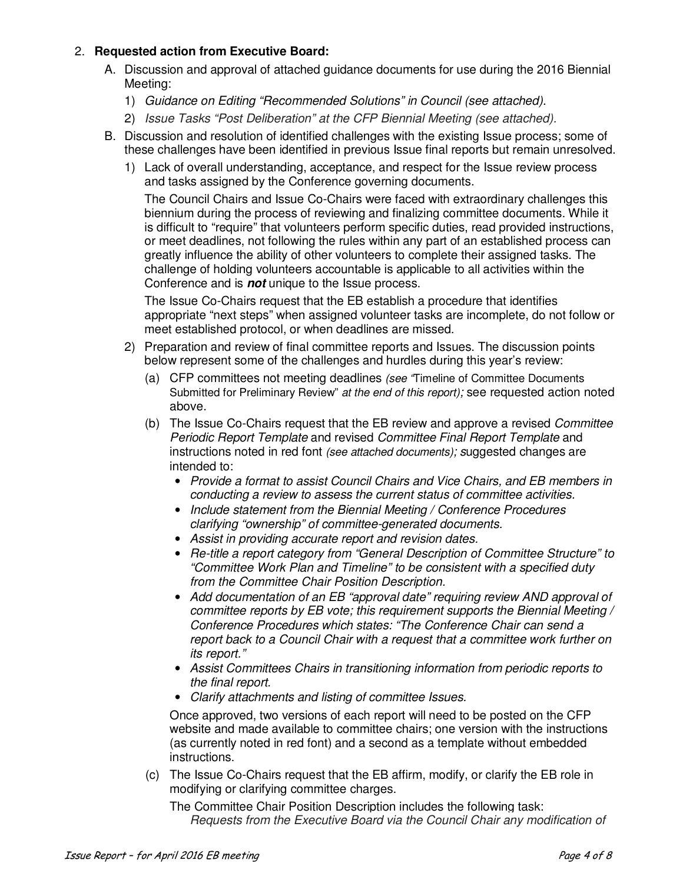# 2. **Requested action from Executive Board:**

- A. Discussion and approval of attached guidance documents for use during the 2016 Biennial Meeting:
	- 1) *Guidance on Editing "Recommended Solutions" in Council (see attached).*
	- 2) *Issue Tasks "Post Deliberation" at the CFP Biennial Meeting (see attached).*
- B. Discussion and resolution of identified challenges with the existing Issue process; some of these challenges have been identified in previous Issue final reports but remain unresolved.
	- 1) Lack of overall understanding, acceptance, and respect for the Issue review process and tasks assigned by the Conference governing documents.

The Council Chairs and Issue Co-Chairs were faced with extraordinary challenges this biennium during the process of reviewing and finalizing committee documents. While it is difficult to "require" that volunteers perform specific duties, read provided instructions, or meet deadlines, not following the rules within any part of an established process can greatly influence the ability of other volunteers to complete their assigned tasks. The challenge of holding volunteers accountable is applicable to all activities within the Conference and is **not** unique to the Issue process.

The Issue Co-Chairs request that the EB establish a procedure that identifies appropriate "next steps" when assigned volunteer tasks are incomplete, do not follow or meet established protocol, or when deadlines are missed.

- 2) Preparation and review of final committee reports and Issues. The discussion points below represent some of the challenges and hurdles during this year's review:
	- (a) CFP committees not meeting deadlines *(see "*Timeline of Committee Documents Submitted for Preliminary Review" *at the end of this report);* see requested action noted above.
	- (b) The Issue Co-Chairs request that the EB review and approve a revised *Committee Periodic Report Template* and revised *Committee Final Report Template* and instructions noted in red font *(see attached documents); s*uggested changes are intended to:
		- *Provide a format to assist Council Chairs and Vice Chairs, and EB members in conducting a review to assess the current status of committee activities.*
		- *Include statement from the Biennial Meeting / Conference Procedures clarifying "ownership" of committee-generated documents.*
		- *Assist in providing accurate report and revision dates.*
		- *Re-title a report category from "General Description of Committee Structure" to "Committee Work Plan and Timeline" to be consistent with a specified duty from the Committee Chair Position Description.*
		- *Add documentation of an EB "approval date" requiring review AND approval of committee reports by EB vote; this requirement supports the Biennial Meeting / Conference Procedures which states: "The Conference Chair can send a report back to a Council Chair with a request that a committee work further on its report."*
		- *Assist Committees Chairs in transitioning information from periodic reports to the final report.*
		- *Clarify attachments and listing of committee Issues.*

Once approved, two versions of each report will need to be posted on the CFP website and made available to committee chairs; one version with the instructions (as currently noted in red font) and a second as a template without embedded instructions.

(c) The Issue Co-Chairs request that the EB affirm, modify, or clarify the EB role in modifying or clarifying committee charges.

The Committee Chair Position Description includes the following task: *Requests from the Executive Board via the Council Chair any modification of*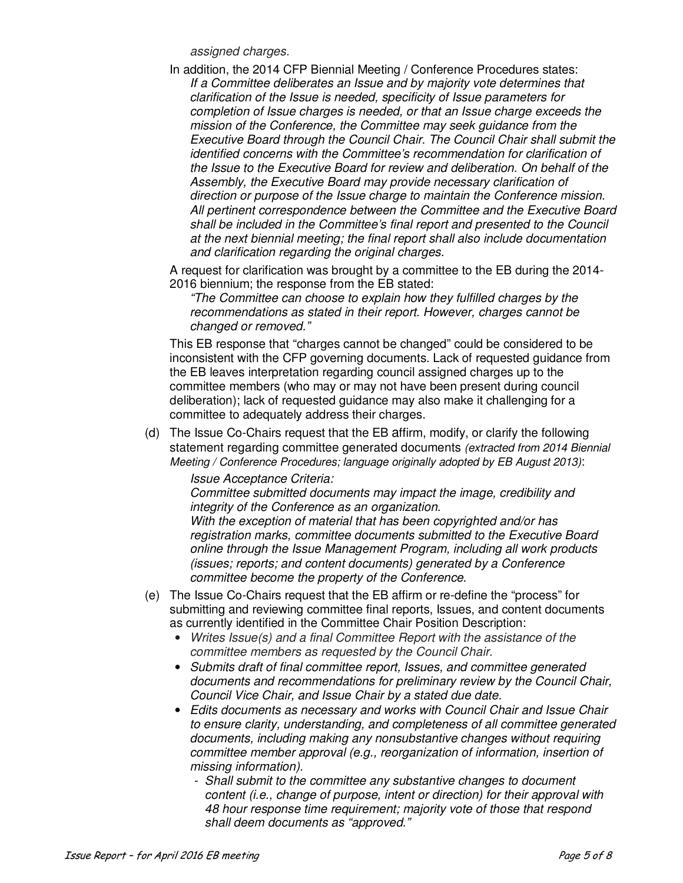*assigned charges.* 

In addition, the 2014 CFP Biennial Meeting / Conference Procedures states: *If a Committee deliberates an Issue and by majority vote determines that clarification of the Issue is needed, specificity of Issue parameters for completion of Issue charges is needed, or that an Issue charge exceeds the mission of the Conference, the Committee may seek guidance from the Executive Board through the Council Chair. The Council Chair shall submit the identified concerns with the Committee's recommendation for clarification of the Issue to the Executive Board for review and deliberation. On behalf of the Assembly, the Executive Board may provide necessary clarification of direction or purpose of the Issue charge to maintain the Conference mission. All pertinent correspondence between the Committee and the Executive Board shall be included in the Committee's final report and presented to the Council at the next biennial meeting; the final report shall also include documentation and clarification regarding the original charges.*

A request for clarification was brought by a committee to the EB during the 2014- 2016 biennium; the response from the EB stated:

*"The Committee can choose to explain how they fulfilled charges by the recommendations as stated in their report. However, charges cannot be changed or removed."* 

This EB response that "charges cannot be changed" could be considered to be inconsistent with the CFP governing documents. Lack of requested guidance from the EB leaves interpretation regarding council assigned charges up to the committee members (who may or may not have been present during council deliberation); lack of requested guidance may also make it challenging for a committee to adequately address their charges.

(d) The Issue Co-Chairs request that the EB affirm, modify, or clarify the following statement regarding committee generated documents *(extracted from 2014 Biennial Meeting / Conference Procedures; language originally adopted by EB August 2013)*:

#### *Issue Acceptance Criteria:*

*Committee submitted documents may impact the image, credibility and integrity of the Conference as an organization.* 

*With the exception of material that has been copyrighted and/or has registration marks, committee documents submitted to the Executive Board online through the Issue Management Program, including all work products (issues; reports; and content documents) generated by a Conference committee become the property of the Conference.* 

- (e) The Issue Co-Chairs request that the EB affirm or re-define the "process" for submitting and reviewing committee final reports, Issues, and content documents as currently identified in the Committee Chair Position Description:
	- *Writes Issue(s) and a final Committee Report with the assistance of the committee members as requested by the Council Chair.*
	- *Submits draft of final committee report, Issues, and committee generated documents and recommendations for preliminary review by the Council Chair, Council Vice Chair, and Issue Chair by a stated due date.*
	- *Edits documents as necessary and works with Council Chair and Issue Chair to ensure clarity, understanding, and completeness of all committee generated documents, including making any nonsubstantive changes without requiring committee member approval (e.g., reorganization of information, insertion of missing information).* 
		- *Shall submit to the committee any substantive changes to document content (i.e., change of purpose, intent or direction) for their approval with 48 hour response time requirement; majority vote of those that respond shall deem documents as "approved."*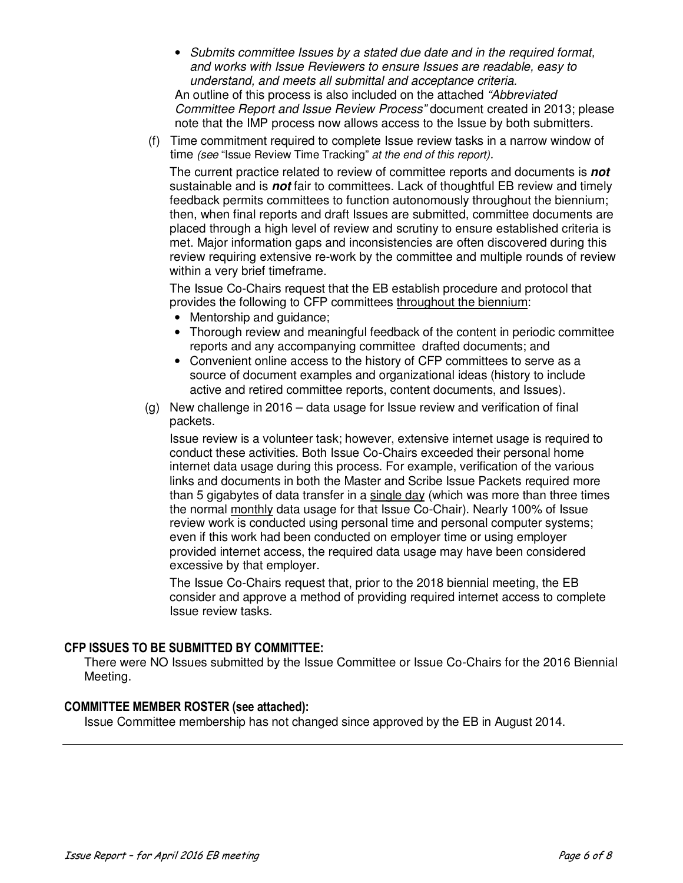- *Submits committee Issues by a stated due date and in the required format, and works with Issue Reviewers to ensure Issues are readable, easy to understand, and meets all submittal and acceptance criteria.*  An outline of this process is also included on the attached *"Abbreviated Committee Report and Issue Review Process"* document created in 2013; please note that the IMP process now allows access to the Issue by both submitters.
- (f) Time commitment required to complete Issue review tasks in a narrow window of time *(see* "Issue Review Time Tracking" *at the end of this report).*

The current practice related to review of committee reports and documents is **not** sustainable and is **not** fair to committees. Lack of thoughtful EB review and timely feedback permits committees to function autonomously throughout the biennium; then, when final reports and draft Issues are submitted, committee documents are placed through a high level of review and scrutiny to ensure established criteria is met. Major information gaps and inconsistencies are often discovered during this review requiring extensive re-work by the committee and multiple rounds of review within a very brief timeframe.

The Issue Co-Chairs request that the EB establish procedure and protocol that provides the following to CFP committees throughout the biennium:

- Mentorship and guidance;
- Thorough review and meaningful feedback of the content in periodic committee reports and any accompanying committee drafted documents; and
- Convenient online access to the history of CFP committees to serve as a source of document examples and organizational ideas (history to include active and retired committee reports, content documents, and Issues).
- (g) New challenge in 2016 data usage for Issue review and verification of final packets.

Issue review is a volunteer task; however, extensive internet usage is required to conduct these activities. Both Issue Co-Chairs exceeded their personal home internet data usage during this process. For example, verification of the various links and documents in both the Master and Scribe Issue Packets required more than 5 gigabytes of data transfer in a single day (which was more than three times the normal monthly data usage for that Issue Co-Chair). Nearly 100% of Issue review work is conducted using personal time and personal computer systems; even if this work had been conducted on employer time or using employer provided internet access, the required data usage may have been considered excessive by that employer.

The Issue Co-Chairs request that, prior to the 2018 biennial meeting, the EB consider and approve a method of providing required internet access to complete Issue review tasks.

# **CFP ISSUES TO BE SUBMITTED BY COMMITTEE:**

There were NO Issues submitted by the Issue Committee or Issue Co-Chairs for the 2016 Biennial Meeting.

# **COMMITTEE MEMBER ROSTER (see attached):**

Issue Committee membership has not changed since approved by the EB in August 2014.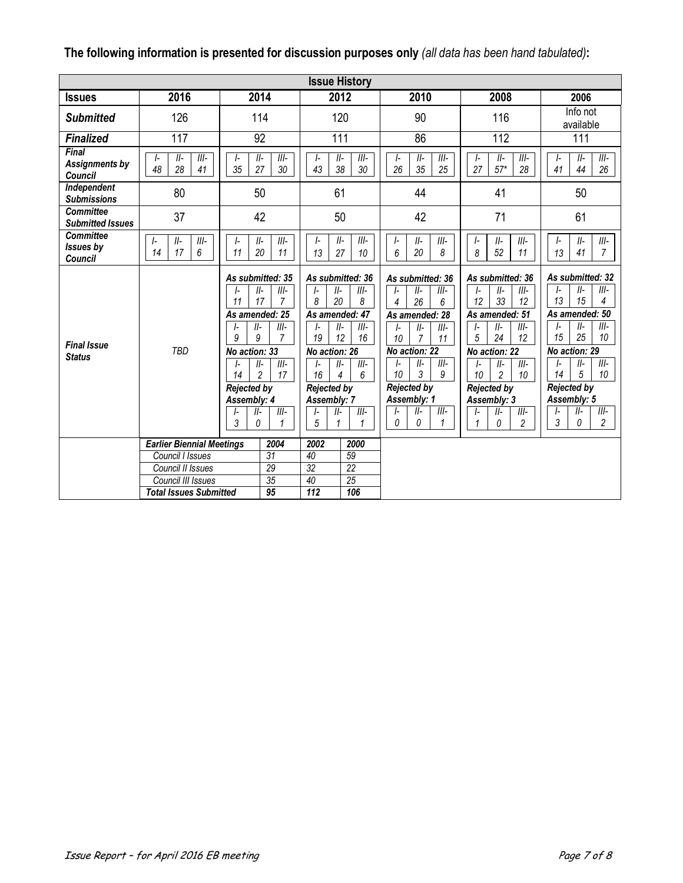|  | The following information is presented for discussion purposes only (all data has been hand tabulated): |
|--|---------------------------------------------------------------------------------------------------------|
|  |                                                                                                         |

| <b>Issue History</b>                                    |                                         |                                                                                                                                                                                                                                                                             |                                                                                                                                                                                                                                                                                                                                |                                                                                                                                                                                                                                                           |                                                                                                                                                                                                                                                                             |                                                                                                                                                                                                                                                                                           |  |  |  |
|---------------------------------------------------------|-----------------------------------------|-----------------------------------------------------------------------------------------------------------------------------------------------------------------------------------------------------------------------------------------------------------------------------|--------------------------------------------------------------------------------------------------------------------------------------------------------------------------------------------------------------------------------------------------------------------------------------------------------------------------------|-----------------------------------------------------------------------------------------------------------------------------------------------------------------------------------------------------------------------------------------------------------|-----------------------------------------------------------------------------------------------------------------------------------------------------------------------------------------------------------------------------------------------------------------------------|-------------------------------------------------------------------------------------------------------------------------------------------------------------------------------------------------------------------------------------------------------------------------------------------|--|--|--|
| <b>Issues</b>                                           | 2016                                    | 2014                                                                                                                                                                                                                                                                        | 2012                                                                                                                                                                                                                                                                                                                           | 2010                                                                                                                                                                                                                                                      | 2008                                                                                                                                                                                                                                                                        | 2006                                                                                                                                                                                                                                                                                      |  |  |  |
| <b>Submitted</b>                                        | 126                                     | 114                                                                                                                                                                                                                                                                         | 120                                                                                                                                                                                                                                                                                                                            | 90                                                                                                                                                                                                                                                        | 116                                                                                                                                                                                                                                                                         | Info not<br>available                                                                                                                                                                                                                                                                     |  |  |  |
| <b>Finalized</b>                                        | 117                                     | 92                                                                                                                                                                                                                                                                          | 111                                                                                                                                                                                                                                                                                                                            | 86                                                                                                                                                                                                                                                        | 112                                                                                                                                                                                                                                                                         | 111                                                                                                                                                                                                                                                                                       |  |  |  |
| <b>Final</b><br><b>Assignments by</b><br><b>Council</b> | $III-$<br>$II-$<br>I-<br>48<br>28<br>41 | $III -$<br>$II-$<br>I-<br>35<br>27<br>30                                                                                                                                                                                                                                    | $III-$<br>$II-$<br>$\mathsf{I}$<br>38<br>30<br>43                                                                                                                                                                                                                                                                              | $II-$<br>$III-$<br>I-<br>35<br>26<br>25                                                                                                                                                                                                                   | $III -$<br>$II-$<br>I-<br>$57*$<br>27<br>28                                                                                                                                                                                                                                 | $III-$<br>II-<br>$\mathsf{I}$<br>41<br>44<br>26                                                                                                                                                                                                                                           |  |  |  |
| Independent<br><b>Submissions</b>                       | 80                                      | 50                                                                                                                                                                                                                                                                          | 61                                                                                                                                                                                                                                                                                                                             | 44                                                                                                                                                                                                                                                        | 41                                                                                                                                                                                                                                                                          | 50                                                                                                                                                                                                                                                                                        |  |  |  |
| <b>Committee</b><br><b>Submitted Issues</b>             | 37                                      | 42                                                                                                                                                                                                                                                                          | 50                                                                                                                                                                                                                                                                                                                             | 42                                                                                                                                                                                                                                                        | 71                                                                                                                                                                                                                                                                          | 61                                                                                                                                                                                                                                                                                        |  |  |  |
| <b>Committee</b><br>Issues by<br><b>Council</b>         | $II-$<br>$III-$<br>I-<br>17<br>6<br>14  | $III -$<br>$II-$<br>I-<br>20<br>11<br>11                                                                                                                                                                                                                                    | $II-$<br>$III-$<br>I-<br>13<br>27<br>10                                                                                                                                                                                                                                                                                        | $II-$<br>$III -$<br>I-<br>20<br>6<br>8                                                                                                                                                                                                                    | $III -$<br>$II-$<br>ŀ<br>52<br>11<br>8                                                                                                                                                                                                                                      | $\mathsf{I}$<br>$II-$<br>$III -$<br>41<br>$\overline{7}$<br>13                                                                                                                                                                                                                            |  |  |  |
| <b>Final Issue</b><br><b>Status</b>                     | <b>TBD</b>                              | As submitted: 35<br>$III-$<br>$II-$<br>17<br>$\overline{7}$<br>11<br>As amended: 25<br>$III -$<br>$II-$<br>9<br>9<br>$\overline{7}$<br>No action: 33<br>$II-$<br>$III -$<br>$\overline{2}$<br>14<br>17<br><b>Rejected by</b><br>Assembly: 4<br>$  -$<br>III-<br>3<br>0<br>1 | As submitted: 36<br>$III -$<br>II-<br>$\mathsf{I}$<br>8<br>20<br>8<br>As amended: 47<br>$II-$<br>$III-$<br>$\mathsf{I}$<br>19<br>12<br>16<br>No action: 26<br>$II-$<br>$III-$<br>I-<br>16<br>$\overline{\mathcal{A}}$<br>6<br><b>Rejected by</b><br>Assembly: 7<br>$\overline{\mathbb{II}}$ -<br>II-<br>$\mathsf{I}$<br>5<br>1 | As submitted: 36<br>$III -$<br>$II-$<br>26<br>4<br>6<br>As amended: 28<br>$II-$<br>$III-$<br>I-<br>10<br>$\overline{7}$<br>11<br>No action: 22<br>$II-$<br>$III-$<br>I-<br>3<br>10<br>9<br><b>Rejected by</b><br>Assembly: 1<br>$II-$<br>$III-$<br>0<br>0 | As submitted: 36<br>$III -$<br>$II-$<br>I-<br>12<br>33<br>12<br>As amended: 51<br>$II-$<br>$III -$<br>$\mathsf{L}$<br>24<br>5<br>12<br>No action: 22<br>$II-$<br>$III-$<br>I-<br>$\overline{c}$<br>10<br>10<br><b>Rejected by</b><br>Assembly: 3<br>$  -$<br>III-<br>2<br>0 | As submitted: 32<br>$III-$<br>$II-$<br>I-<br>13<br>15<br>4<br>As amended: 50<br>$III-$<br>$II-$<br>I-<br>25<br>15<br>10<br>No action: 29<br>$II-$<br>$III-$<br>I-<br>5<br>10<br>14<br><b>Rejected by</b><br>Assembly: 5<br>$III-$<br>$II-$<br>I-<br>$\mathfrak{Z}$<br>$\overline{c}$<br>0 |  |  |  |
|                                                         | <b>Earlier Biennial Meetings</b>        | 2004                                                                                                                                                                                                                                                                        | 2002<br>2000                                                                                                                                                                                                                                                                                                                   |                                                                                                                                                                                                                                                           |                                                                                                                                                                                                                                                                             |                                                                                                                                                                                                                                                                                           |  |  |  |
|                                                         | Council I Issues<br>Council II Issues   | $\overline{31}$<br>29                                                                                                                                                                                                                                                       | 59<br>40<br>32<br>$\overline{22}$                                                                                                                                                                                                                                                                                              |                                                                                                                                                                                                                                                           |                                                                                                                                                                                                                                                                             |                                                                                                                                                                                                                                                                                           |  |  |  |
|                                                         | Council III Issues                      | $\overline{35}$                                                                                                                                                                                                                                                             | 25<br>40                                                                                                                                                                                                                                                                                                                       |                                                                                                                                                                                                                                                           |                                                                                                                                                                                                                                                                             |                                                                                                                                                                                                                                                                                           |  |  |  |
|                                                         | <b>Total Issues Submitted</b>           | 95                                                                                                                                                                                                                                                                          | 112<br>106                                                                                                                                                                                                                                                                                                                     |                                                                                                                                                                                                                                                           |                                                                                                                                                                                                                                                                             |                                                                                                                                                                                                                                                                                           |  |  |  |
|                                                         |                                         |                                                                                                                                                                                                                                                                             |                                                                                                                                                                                                                                                                                                                                |                                                                                                                                                                                                                                                           |                                                                                                                                                                                                                                                                             |                                                                                                                                                                                                                                                                                           |  |  |  |